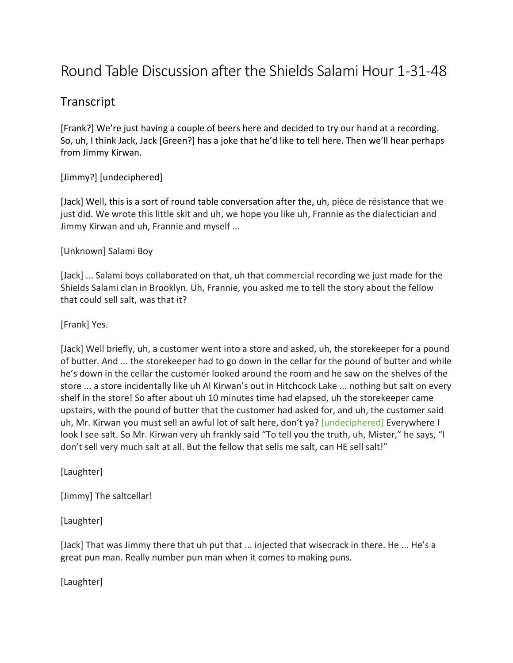## Round Table Discussion after the Shields Salami Hour 1-31-48

## Transcript

[Frank?] We're just having a couple of beers here and decided to try our hand at a recording. So, uh, I think Jack, Jack [Green?] has a joke that he'd like to tell here. Then we'll hear perhaps from Jimmy Kirwan.

## [Jimmy?] [undeciphered]

[Jack] Well, this is a sort of round table conversation after the, uh, pièce de résistance that we just did. We wrote this little skit and uh, we hope you like uh, Frannie as the dialectician and Jimmy Kirwan and uh, Frannie and myself ...

## [Unknown] Salami Boy

[Jack] ... Salami boys collaborated on that, uh that commercial recording we just made for the Shields Salami clan in Brooklyn. Uh, Frannie, you asked me to tell the story about the fellow that could sell salt, was that it?

[Frank] Yes.

[Jack] Well briefly, uh, a customer went into a store and asked, uh, the storekeeper for a pound of butter. And ... the storekeeper had to go down in the cellar for the pound of butter and while he's down in the cellar the customer looked around the room and he saw on the shelves of the store ... a store incidentally like uh Al Kirwan's out in Hitchcock Lake ... nothing but salt on every shelf in the store! So after about uh 10 minutes time had elapsed, uh the storekeeper came upstairs, with the pound of butter that the customer had asked for, and uh, the customer said uh, Mr. Kirwan you must sell an awful lot of salt here, don't ya? [undeciphered] Everywhere I look I see salt. So Mr. Kirwan very uh frankly said "To tell you the truth, uh, Mister," he says, "I don't sell very much salt at all. But the fellow that sells me salt, can HE sell salt!"

[Laughter]

[Jimmy] The saltcellar!

[Laughter]

[Jack] That was Jimmy there that uh put that ... injected that wisecrack in there. He ... He's a great pun man. Really number pun man when it comes to making puns.

[Laughter]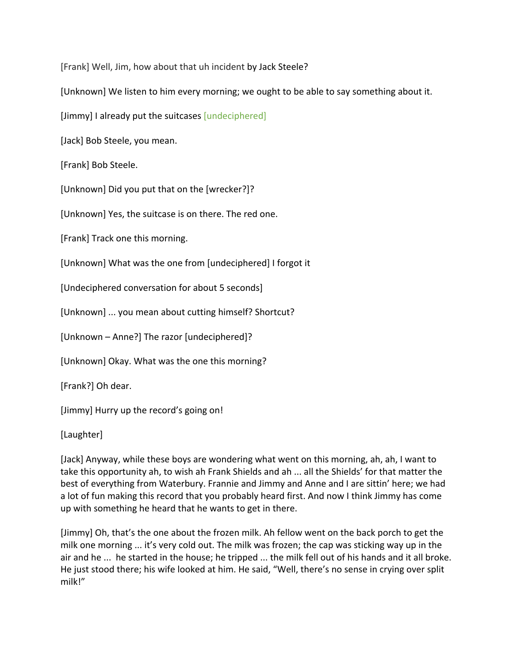[Frank] Well, Jim, how about that uh incident by Jack Steele?

[Unknown] We listen to him every morning; we ought to be able to say something about it.

[Jimmy] I already put the suitcases [undeciphered]

[Jack] Bob Steele, you mean.

[Frank] Bob Steele.

[Unknown] Did you put that on the [wrecker?]?

[Unknown] Yes, the suitcase is on there. The red one.

[Frank] Track one this morning.

[Unknown] What was the one from [undeciphered] I forgot it

[Undeciphered conversation for about 5 seconds]

[Unknown] ... you mean about cutting himself? Shortcut?

[Unknown – Anne?] The razor [undeciphered]?

[Unknown] Okay. What was the one this morning?

[Frank?] Oh dear.

[Jimmy] Hurry up the record's going on!

[Laughter]

[Jack] Anyway, while these boys are wondering what went on this morning, ah, ah, I want to take this opportunity ah, to wish ah Frank Shields and ah ... all the Shields' for that matter the best of everything from Waterbury. Frannie and Jimmy and Anne and I are sittin' here; we had a lot of fun making this record that you probably heard first. And now I think Jimmy has come up with something he heard that he wants to get in there.

[Jimmy] Oh, that's the one about the frozen milk. Ah fellow went on the back porch to get the milk one morning  $\ldots$  it's very cold out. The milk was frozen; the cap was sticking way up in the air and he ... he started in the house; he tripped ... the milk fell out of his hands and it all broke. He just stood there; his wife looked at him. He said, "Well, there's no sense in crying over split milk!"